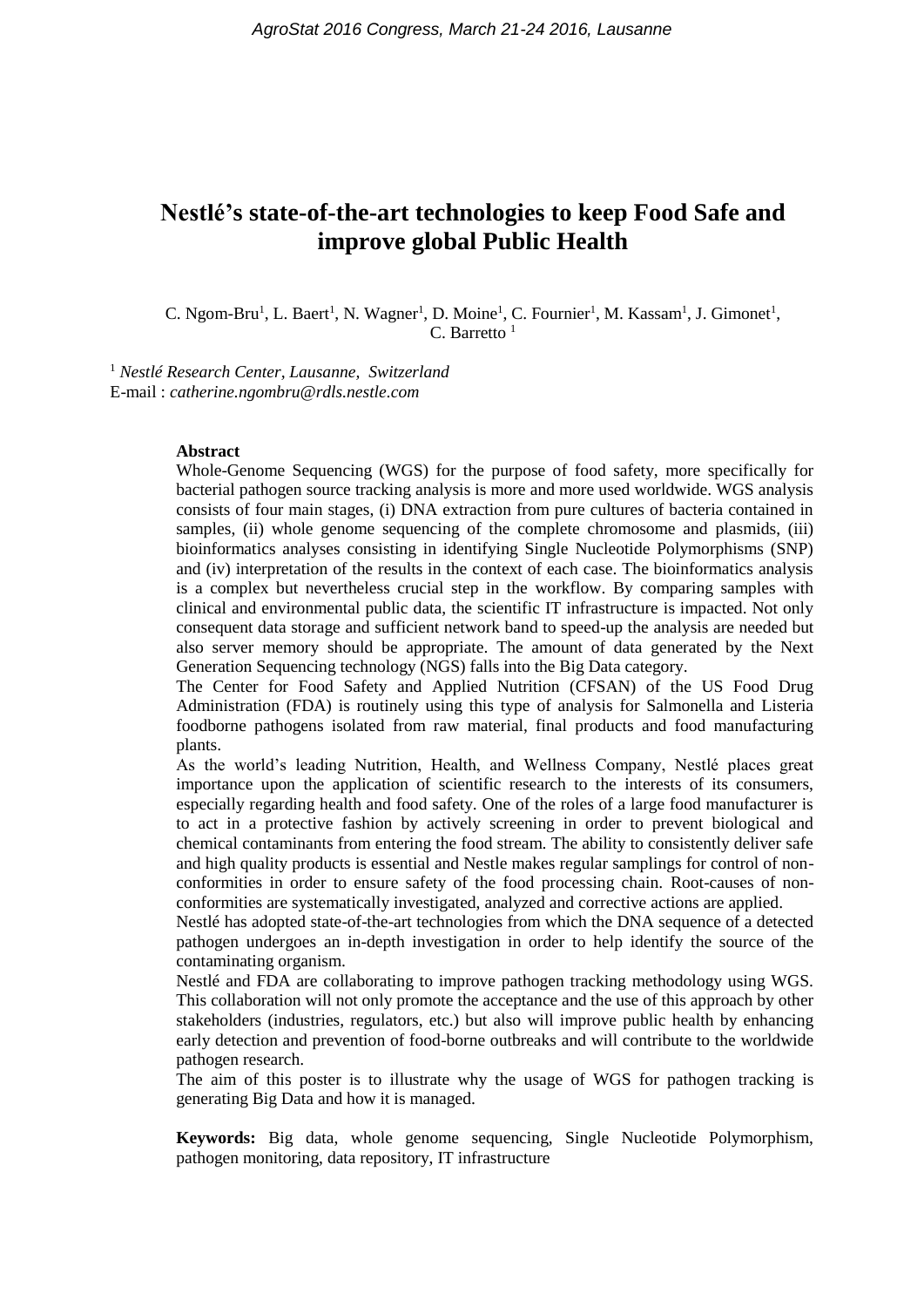# **Nestlé's state-of-the-art technologies to keep Food Safe and improve global Public Health**

C. Ngom-Bru<sup>1</sup>, L. Baert<sup>1</sup>, N. Wagner<sup>1</sup>, D. Moine<sup>1</sup>, C. Fournier<sup>1</sup>, M. Kassam<sup>1</sup>, J. Gimonet<sup>1</sup>, C. Barretto  $1$ 

<sup>1</sup> *Nestlé Research Center, Lausanne, Switzerland* E-mail : *catherine.ngombru@rdls.nestle.com*

#### **Abstract**

Whole-Genome Sequencing (WGS) for the purpose of food safety, more specifically for bacterial pathogen source tracking analysis is more and more used worldwide. WGS analysis consists of four main stages, (i) DNA extraction from pure cultures of bacteria contained in samples, (ii) whole genome sequencing of the complete chromosome and plasmids, (iii) bioinformatics analyses consisting in identifying Single Nucleotide Polymorphisms (SNP) and (iv) interpretation of the results in the context of each case. The bioinformatics analysis is a complex but nevertheless crucial step in the workflow. By comparing samples with clinical and environmental public data, the scientific IT infrastructure is impacted. Not only consequent data storage and sufficient network band to speed-up the analysis are needed but also server memory should be appropriate. The amount of data generated by the Next Generation Sequencing technology (NGS) falls into the Big Data category.

The Center for Food Safety and Applied Nutrition (CFSAN) of the US Food Drug Administration (FDA) is routinely using this type of analysis for Salmonella and Listeria foodborne pathogens isolated from raw material, final products and food manufacturing plants.

As the world's leading Nutrition, Health, and Wellness Company, Nestlé places great importance upon the application of scientific research to the interests of its consumers, especially regarding health and food safety. One of the roles of a large food manufacturer is to act in a protective fashion by actively screening in order to prevent biological and chemical contaminants from entering the food stream. The ability to consistently deliver safe and high quality products is essential and Nestle makes regular samplings for control of nonconformities in order to ensure safety of the food processing chain. Root-causes of nonconformities are systematically investigated, analyzed and corrective actions are applied.

Nestlé has adopted state-of-the-art technologies from which the DNA sequence of a detected pathogen undergoes an in-depth investigation in order to help identify the source of the contaminating organism.

Nestlé and FDA are collaborating to improve pathogen tracking methodology using WGS. This collaboration will not only promote the acceptance and the use of this approach by other stakeholders (industries, regulators, etc.) but also will improve public health by enhancing early detection and prevention of food-borne outbreaks and will contribute to the worldwide pathogen research.

The aim of this poster is to illustrate why the usage of WGS for pathogen tracking is generating Big Data and how it is managed.

**Keywords:** Big data, whole genome sequencing, Single Nucleotide Polymorphism, pathogen monitoring, data repository, IT infrastructure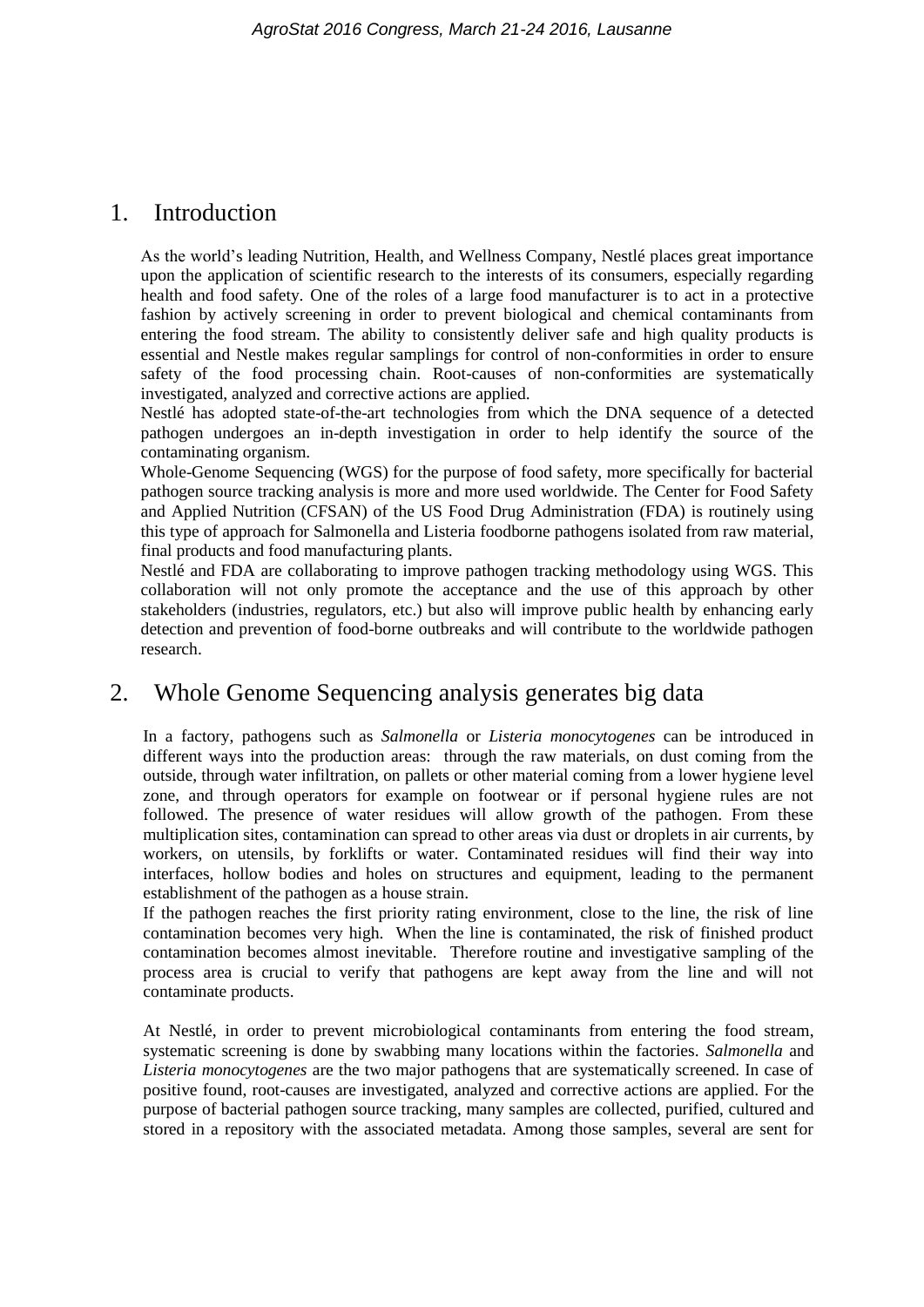### 1. Introduction

As the world's leading Nutrition, Health, and Wellness Company, Nestlé places great importance upon the application of scientific research to the interests of its consumers, especially regarding health and food safety. One of the roles of a large food manufacturer is to act in a protective fashion by actively screening in order to prevent biological and chemical contaminants from entering the food stream. The ability to consistently deliver safe and high quality products is essential and Nestle makes regular samplings for control of non-conformities in order to ensure safety of the food processing chain. Root-causes of non-conformities are systematically investigated, analyzed and corrective actions are applied.

Nestlé has adopted state-of-the-art technologies from which the DNA sequence of a detected pathogen undergoes an in-depth investigation in order to help identify the source of the contaminating organism.

Whole-Genome Sequencing (WGS) for the purpose of food safety, more specifically for bacterial pathogen source tracking analysis is more and more used worldwide. The Center for Food Safety and Applied Nutrition (CFSAN) of the US Food Drug Administration (FDA) is routinely using this type of approach for Salmonella and Listeria foodborne pathogens isolated from raw material, final products and food manufacturing plants.

Nestlé and FDA are collaborating to improve pathogen tracking methodology using WGS. This collaboration will not only promote the acceptance and the use of this approach by other stakeholders (industries, regulators, etc.) but also will improve public health by enhancing early detection and prevention of food-borne outbreaks and will contribute to the worldwide pathogen research.

# 2. Whole Genome Sequencing analysis generates big data

In a factory, pathogens such as *Salmonella* or *Listeria monocytogenes* can be introduced in different ways into the production areas: through the raw materials, on dust coming from the outside, through water infiltration, on pallets or other material coming from a lower hygiene level zone, and through operators for example on footwear or if personal hygiene rules are not followed. The presence of water residues will allow growth of the pathogen. From these multiplication sites, contamination can spread to other areas via dust or droplets in air currents, by workers, on utensils, by forklifts or water. Contaminated residues will find their way into interfaces, hollow bodies and holes on structures and equipment, leading to the permanent establishment of the pathogen as a house strain.

If the pathogen reaches the first priority rating environment, close to the line, the risk of line contamination becomes very high. When the line is contaminated, the risk of finished product contamination becomes almost inevitable. Therefore routine and investigative sampling of the process area is crucial to verify that pathogens are kept away from the line and will not contaminate products.

At Nestlé, in order to prevent microbiological contaminants from entering the food stream, systematic screening is done by swabbing many locations within the factories. *Salmonella* and *Listeria monocytogenes* are the two major pathogens that are systematically screened. In case of positive found, root-causes are investigated, analyzed and corrective actions are applied. For the purpose of bacterial pathogen source tracking, many samples are collected, purified, cultured and stored in a repository with the associated metadata. Among those samples, several are sent for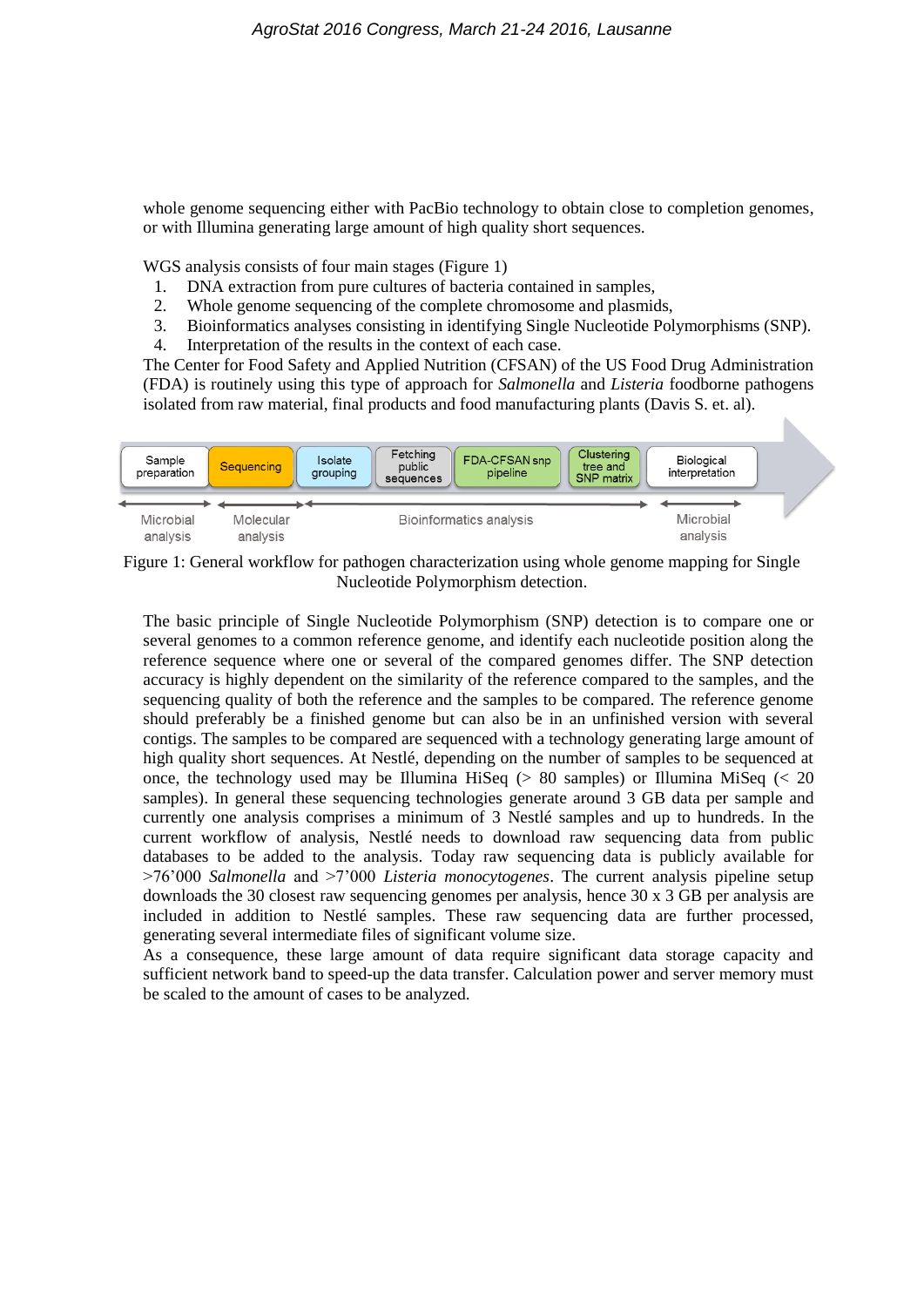whole genome sequencing either with PacBio technology to obtain close to completion genomes, or with Illumina generating large amount of high quality short sequences.

WGS analysis consists of four main stages [\(Figure 1\)](#page-2-0)

- 1. DNA extraction from pure cultures of bacteria contained in samples,
- 2. Whole genome sequencing of the complete chromosome and plasmids,
- 3. Bioinformatics analyses consisting in identifying Single Nucleotide Polymorphisms (SNP).
- 4. Interpretation of the results in the context of each case.

The Center for Food Safety and Applied Nutrition (CFSAN) of the US Food Drug Administration (FDA) is routinely using this type of approach for *Salmonella* and *Listeria* foodborne pathogens isolated from raw material, final products and food manufacturing plants (Davis S. et. al).



<span id="page-2-0"></span>Figure 1: General workflow for pathogen characterization using whole genome mapping for Single Nucleotide Polymorphism detection.

The basic principle of Single Nucleotide Polymorphism (SNP) detection is to compare one or several genomes to a common reference genome, and identify each nucleotide position along the reference sequence where one or several of the compared genomes differ. The SNP detection accuracy is highly dependent on the similarity of the reference compared to the samples, and the sequencing quality of both the reference and the samples to be compared. The reference genome should preferably be a finished genome but can also be in an unfinished version with several contigs. The samples to be compared are sequenced with a technology generating large amount of high quality short sequences. At Nestlé, depending on the number of samples to be sequenced at once, the technology used may be Illumina HiSeq ( $> 80$  samples) or Illumina MiSeq ( $< 20$ ) samples). In general these sequencing technologies generate around 3 GB data per sample and currently one analysis comprises a minimum of 3 Nestlé samples and up to hundreds. In the current workflow of analysis, Nestlé needs to download raw sequencing data from public databases to be added to the analysis. Today raw sequencing data is publicly available for >76'000 *Salmonella* and >7'000 *Listeria monocytogenes*. The current analysis pipeline setup downloads the 30 closest raw sequencing genomes per analysis, hence 30 x 3 GB per analysis are included in addition to Nestlé samples. These raw sequencing data are further processed, generating several intermediate files of significant volume size.

As a consequence, these large amount of data require significant data storage capacity and sufficient network band to speed-up the data transfer. Calculation power and server memory must be scaled to the amount of cases to be analyzed.